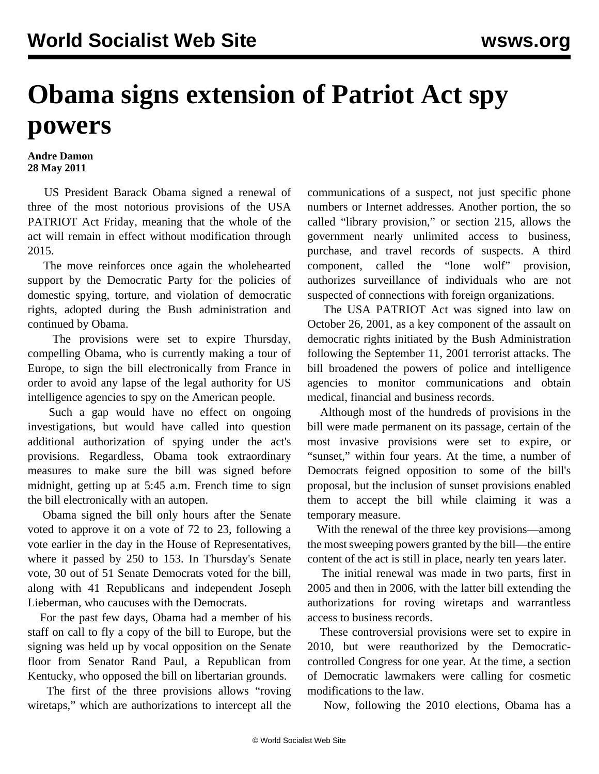## **Obama signs extension of Patriot Act spy powers**

## **Andre Damon 28 May 2011**

 US President Barack Obama signed a renewal of three of the most notorious provisions of the USA PATRIOT Act Friday, meaning that the whole of the act will remain in effect without modification through 2015.

 The move reinforces once again the wholehearted support by the Democratic Party for the policies of domestic spying, torture, and violation of democratic rights, adopted during the Bush administration and continued by Obama.

 The provisions were set to expire Thursday, compelling Obama, who is currently making a tour of Europe, to sign the bill electronically from France in order to avoid any lapse of the legal authority for US intelligence agencies to spy on the American people.

 Such a gap would have no effect on ongoing investigations, but would have called into question additional authorization of spying under the act's provisions. Regardless, Obama took extraordinary measures to make sure the bill was signed before midnight, getting up at 5:45 a.m. French time to sign the bill electronically with an autopen.

 Obama signed the bill only hours after the Senate voted to approve it on a vote of 72 to 23, following a vote earlier in the day in the House of Representatives, where it passed by 250 to 153. In Thursday's Senate vote, 30 out of 51 Senate Democrats voted for the bill, along with 41 Republicans and independent Joseph Lieberman, who caucuses with the Democrats.

 For the past few days, Obama had a member of his staff on call to fly a copy of the bill to Europe, but the signing was held up by vocal opposition on the Senate floor from Senator Rand Paul, a Republican from Kentucky, who opposed the bill on libertarian grounds.

 The first of the three provisions allows "roving wiretaps," which are authorizations to intercept all the communications of a suspect, not just specific phone numbers or Internet addresses. Another portion, the so called "library provision," or section 215, allows the government nearly unlimited access to business, purchase, and travel records of suspects. A third component, called the "lone wolf" provision, authorizes surveillance of individuals who are not suspected of connections with foreign organizations.

 The USA PATRIOT Act was signed into law on October 26, 2001, as a key component of the assault on democratic rights initiated by the Bush Administration following the September 11, 2001 terrorist attacks. The bill broadened the powers of police and intelligence agencies to monitor communications and obtain medical, financial and business records.

 Although most of the hundreds of provisions in the bill were made permanent on its passage, certain of the most invasive provisions were set to expire, or "sunset," within four years. At the time, a number of Democrats feigned opposition to some of the bill's proposal, but the inclusion of sunset provisions enabled them to accept the bill while claiming it was a temporary measure.

 With the renewal of the three key provisions—among the most sweeping powers granted by the bill—the entire content of the act is still in place, nearly ten years later.

 The initial renewal was made in two parts, first in 2005 and then in 2006, with the latter bill extending the authorizations for roving wiretaps and warrantless access to business records.

 These controversial provisions were set to expire in 2010, but were reauthorized by the Democraticcontrolled Congress for one year. At the time, a section of Democratic lawmakers were calling for cosmetic modifications to the law.

Now, following the 2010 elections, Obama has a